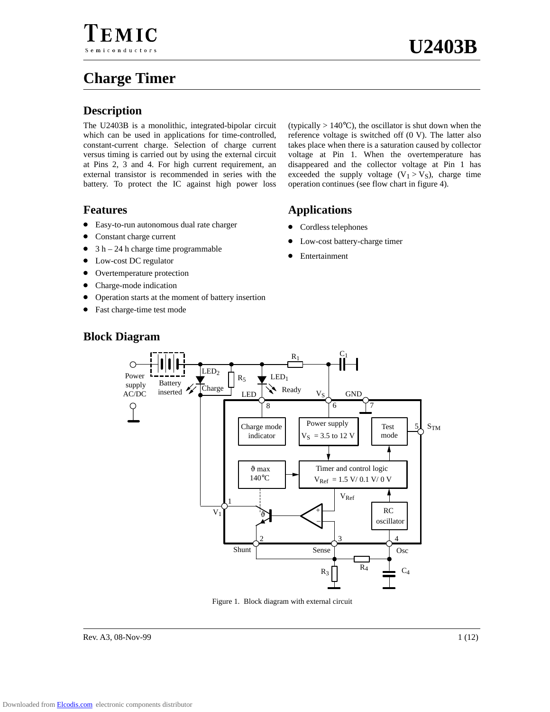# **Charge Timer**

## **Description**

The U2403B is a monolithic, integrated-bipolar circuit which can be used in applications for time-controlled, constant-current charge. Selection of charge current versus timing is carried out by using the external circuit at Pins 2, 3 and 4. For high current requirement, an external transistor is recommended in series with the battery. To protect the IC against high power loss

## **Features**

- Easy-to-run autonomous dual rate charger
- $\bullet$ Constant charge current
- $\bullet$ 3 h – 24 h charge time programmable
- $\bullet$ Low-cost DC regulator
- $\bullet$ Overtemperature protection
- $\bullet$ Charge-mode indication
- $\bullet$ Operation starts at the moment of battery insertion
- $\bullet$ Fast charge-time test mode

(typically  $> 140^{\circ}$ C), the oscillator is shut down when the reference voltage is switched off (0 V). The latter also takes place when there is a saturation caused by collector voltage at Pin 1. When the overtemperature has disappeared and the collector voltage at Pin 1 has exceeded the supply voltage  $(V_1 > V_S)$ , charge time operation continues (see flow chart in figure 4).

## **Applications**

- Cordless telephones
- $\bullet$ Low-cost battery-charge timer
- $\bullet$ Entertainment



#### Figure 1. Block diagram with external circuit



## **Block Diagram**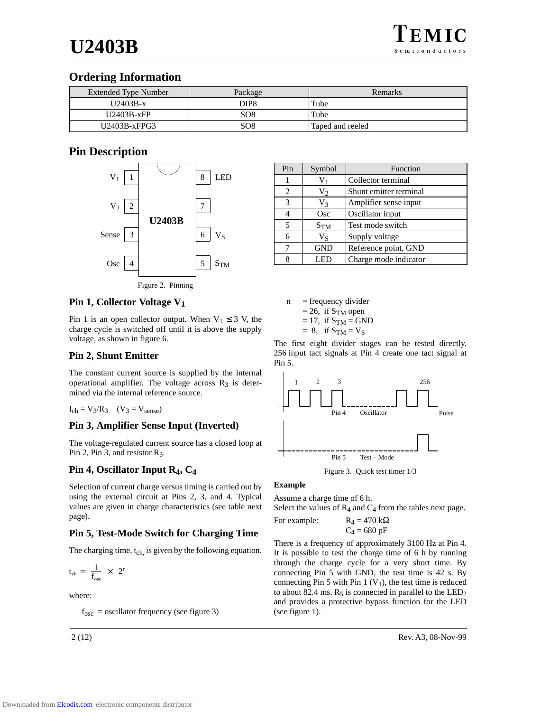## **Ordering Information**

| <b>Extended Type Number</b> | Package          | Remarks          |
|-----------------------------|------------------|------------------|
| $U2403B-x$                  | DIP <sub>8</sub> | Tube             |
| $U2403B-xFP$                | SO <sub>8</sub>  | Tube             |
| $U2403B-xFPG3$              | SO8              | Taped and reeled |

## **Pin Description**



## **Pin 1, Collector Voltage V1**

Pin 1 is an open collector output. When  $V_1 \leq 3$  V, the charge cycle is switched off until it is above the supply voltage, as shown in figure 6.

## **Pin 2, Shunt Emitter**

The constant current source is supplied by the internal operational amplifier. The voltage across  $R_3$  is determined via the internal reference source.

$$
I_{ch} = V_3/R_3 \quad (V_3 = V_{sense})
$$

## **Pin 3, Amplifier Sense Input (Inverted)**

The voltage-regulated current source has a closed loop at Pin 2, Pin 3, and resistor  $R_3$ .

## **Pin 4, Oscillator Input R4, C4**

Selection of current charge versus timing is carried out by using the external circuit at Pins 2, 3, and 4. Typical values are given in charge characteristics (see table next page).

## **Pin 5, Test-Mode Switch for Charging Time**

The charging time, t<sub>ch,</sub> is given by the following equation.

$$
t_{ch}\,=\,\frac{1}{f_{osc}}\,\,\times\,\,2^n
$$

where:

 $f_{\rm osc}$  = oscillator frequency (see figure 3)

| Pin | Symbol          | Function               |
|-----|-----------------|------------------------|
|     |                 | Collector terminal     |
| 2   | $V_2$           | Shunt emitter terminal |
| 3   | V3              | Amplifier sense input  |
| 4   | Osc             | Oscillator input       |
| 5   | S <sub>TM</sub> | Test mode switch       |
| 6   | $V_S$           | Supply voltage         |
|     | <b>GND</b>      | Reference point, GND   |
| 8   | I ED            | Charge mode indicator  |

 $n = frequency \div d$  $= 26$ , if S<sub>TM</sub> open  $= 17$ , if  $S_{TM} = GND$  $= 8$ , if  $S_{TM} = V_S$ 

The first eight divider stages can be tested directly. 256 input tact signals at Pin 4 create one tact signal at Pin 5.



Figure 3. Quick test timer 1/3

## **Example**

Assume a charge time of 6 h.

Select the values of  $R_4$  and  $C_4$  from the tables next page.

For example:  $R_4 = 470 \text{ k}\Omega$  $C_4$  = 680 pF

There is a frequency of approximately 3100 Hz at Pin 4. It is possible to test the charge time of 6 h by running through the charge cycle for a very short time. By connecting Pin 5 with GND, the test time is 42 s. By connecting Pin 5 with Pin 1  $(V_1)$ , the test time is reduced to about 82.4 ms.  $R_5$  is connected in parallel to the  $LED_2$ and provides a protective bypass function for the LED (see figure 1).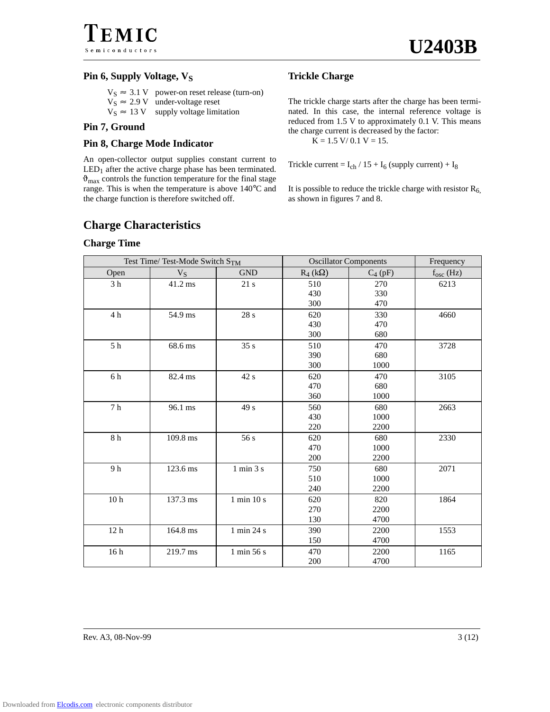EMIC Semiconductors

### **Pin 6, Supply Voltage, V<sub>S</sub>**

 $V_S \approx 3.1 \text{ V}$  power-on reset release (turn-on)  $V_S \approx 2.9 \text{ V}$  under-voltage reset  $V_S \approx 13 \text{ V}$  supply voltage limitation

#### **Pin 7, Ground**

## **Pin 8, Charge Mode Indicator**

An open-collector output supplies constant current to  $LED<sub>1</sub>$  after the active charge phase has been terminated.  $\vartheta_{\text{max}}$  controls the function temperature for the final stage range. This is when the temperature is above 140°C and the charge function is therefore switched off.

## **Trickle Charge**

The trickle charge starts after the charge has been terminated. In this case, the internal reference voltage is reduced from 1.5 V to approximately 0.1 V. This means the charge current is decreased by the factor:  $K = 1.5$  V/ 0.1 V = 15.

Trickle current =  $I_{ch}$  / 15 +  $I_6$  (supply current) +  $I_8$ 

It is possible to reduce the trickle charge with resistor  $R_6$ , as shown in figures 7 and 8.

## **Charge Characteristics**

#### **Charge Time**

|                                    | Test Time/ Test-Mode Switch STM |                          | <b>Oscillator Components</b> |            | Frequency      |
|------------------------------------|---------------------------------|--------------------------|------------------------------|------------|----------------|
| Open                               | $V_S$                           | <b>GND</b>               | $R_4(k\Omega)$               | $C_4$ (pF) | $f_{osc}$ (Hz) |
| 3 <sub>h</sub>                     | 41.2 ms                         | 21 s                     | 510                          | 270        | 6213           |
|                                    |                                 |                          | 430                          | 330        |                |
|                                    |                                 |                          | 300                          | 470        |                |
| 4 h                                | 54.9 ms                         | 28 s                     | 620                          | 330        | 4660           |
|                                    |                                 |                          | 430                          | 470        |                |
|                                    |                                 |                          | 300                          | 680        |                |
| $5h$                               | 68.6 ms                         | 35s                      | 510                          | 470        | 3728           |
|                                    |                                 |                          | 390                          | 680        |                |
|                                    |                                 |                          | 300                          | 1000       |                |
| $6\,\ensuremath{\,{\rm h}}$        | 82.4 ms                         | 42 s                     | 620                          | 470        | 3105           |
|                                    |                                 |                          | 470                          | 680        |                |
|                                    |                                 |                          | 360                          | 1000       |                |
| $7\ \mathrm{h}$                    | 96.1 ms                         | 49 s                     | 560                          | 680        | 2663           |
|                                    |                                 |                          | 430                          | 1000       |                |
|                                    |                                 |                          | 220                          | 2200       |                |
| $8\ \mathrm{h}$                    | 109.8 ms                        | 56 s                     | 620                          | 680        | 2330           |
|                                    |                                 |                          | 470                          | 1000       |                |
|                                    |                                 |                          | 200                          | 2200       |                |
| 9h                                 | 123.6 ms                        | $1$ min $3$ $\mathrm{s}$ | 750                          | 680        | 2071           |
|                                    |                                 |                          | 510                          | 1000       |                |
|                                    |                                 |                          | 240                          | 2200       |                |
| $10\,\ensuremath{\mbox{\text{h}}}$ | 137.3 ms                        | $1$ min $10$ s $\,$      | 620                          | 820        | 1864           |
|                                    |                                 |                          | 270                          | 2200       |                |
|                                    |                                 |                          | 130                          | 4700       |                |
| 12 <sub>h</sub>                    | 164.8 ms                        | 1 min 24 s               | 390                          | 2200       | 1553           |
|                                    |                                 |                          | 150                          | 4700       |                |
| 16 <sub>h</sub>                    | 219.7 ms                        | 1 min 56 s               | 470                          | 2200       | 1165           |
|                                    |                                 |                          | 200                          | 4700       |                |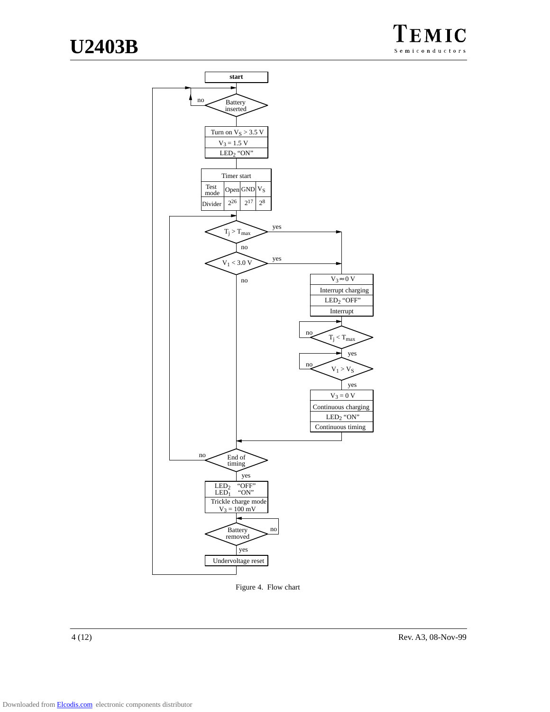



Figure 4. Flow chart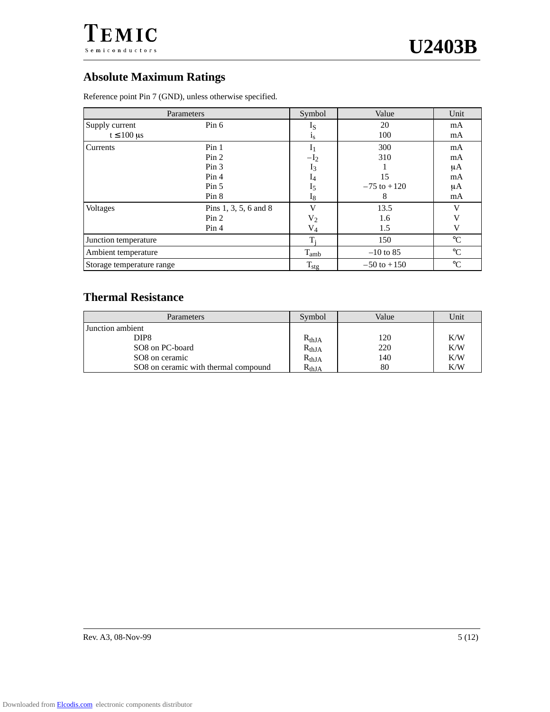

## **Absolute Maximum Ratings**

Reference point Pin 7 (GND), unless otherwise specified.

| Parameters                                                 |                                                                                     | Symbol                                                   | Value                                    | Unit                             |
|------------------------------------------------------------|-------------------------------------------------------------------------------------|----------------------------------------------------------|------------------------------------------|----------------------------------|
| Supply current<br>$t \leq 100 \text{ }\mu\text{s}$         | Pin 6                                                                               | $_{\rm 1S}$<br>$1_{S}$                                   | 20<br>100                                | mA<br>mA                         |
| Currents                                                   | Pin <sub>1</sub><br>Pin 2<br>Pin <sub>3</sub><br>Pin <sub>4</sub><br>Pin 5<br>Pin 8 | 1 <sub>1</sub><br>$-I2$<br>$I_3$<br>I4<br>$I_5$<br>$I_8$ | 300<br>310<br>15<br>$-75$ to $+120$<br>8 | mA<br>mA<br>μA<br>mA<br>μA<br>mA |
| <b>Voltages</b><br>Pins 1, 3, 5, 6 and 8<br>Pin 2<br>Pin 4 |                                                                                     | V<br>$V_2$<br>$V_4$                                      | 13.5<br>1.6<br>1.5                       | V<br>V<br>V                      |
| Junction temperature                                       |                                                                                     | T;                                                       | 150                                      | $\rm ^{\circ}C$                  |
| Ambient temperature                                        |                                                                                     | $T_{amb}$                                                | $-10$ to 85                              | $\rm ^{\circ}C$                  |
| Storage temperature range                                  |                                                                                     | $T_{\text{stg}}$                                         | $-50$ to $+150$                          | $\rm ^{\circ}C$                  |

## **Thermal Resistance**

| Parameters                           | Symbol     | Value | Unit |
|--------------------------------------|------------|-------|------|
| Junction ambient                     |            |       |      |
| DIP <sub>8</sub>                     | $R_{thJA}$ | 120   | K/W  |
| SO8 on PC-board                      | $R_{thJA}$ | 220   | K/W  |
| SO <sub>8</sub> on ceramic           | $R_{thJA}$ | 140   | K/W  |
| SO8 on ceramic with thermal compound | $R_{thJA}$ | 80    | K/W  |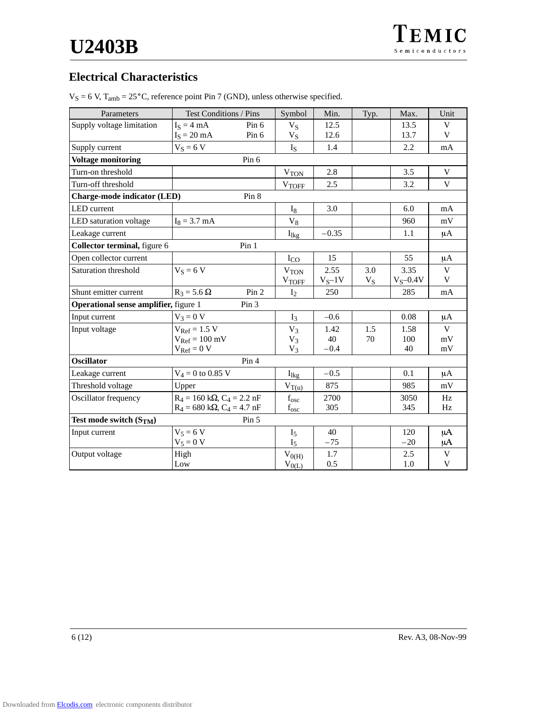## **Electrical Characteristics**

| Parameters                            | Test Conditions / Pins                               | Symbol                 | Min.       | Typ.  | Max.        | Unit         |
|---------------------------------------|------------------------------------------------------|------------------------|------------|-------|-------------|--------------|
| Supply voltage limitation             | $I_S = 4 mA$<br>Pin 6                                | $V_S$                  | 12.5       |       | 13.5        | V            |
|                                       | $IS = 20 mA$<br>Pin 6                                | $V_S$                  | 12.6       |       | 13.7        | V            |
| Supply current                        | $V_S = 6 V$                                          | $I_{S}$                | 1.4        |       | 2.2         | mA           |
| <b>Voltage monitoring</b>             | Pin 6                                                |                        |            |       |             |              |
| Turn-on threshold                     |                                                      | $V_{TON}$              | 2.8        |       | 3.5         | V            |
| Turn-off threshold                    |                                                      | <b>VTOFF</b>           | 2.5        |       | 3.2         | V            |
| Charge-mode indicator (LED)           | Pin 8                                                |                        |            |       |             |              |
| <b>LED</b> current                    |                                                      | $I_8$                  | 3.0        |       | 6.0         | mA           |
| LED saturation voltage                | $I_8 = 3.7$ mA                                       | $\rm V_8$              |            |       | 960         | mV           |
| Leakage current                       |                                                      | $I_{lkg}$              | $-0.35$    |       | 1.1         | μA           |
| Collector terminal, figure 6          | Pin 1                                                |                        |            |       |             |              |
| Open collector current                |                                                      | $I_{CO}$               | 15         |       | 55          | μA           |
| Saturation threshold                  | $V_S = 6 V$                                          | V <sub>TON</sub>       | 2.55       | 3.0   | 3.35        | V            |
|                                       |                                                      | $V_{TOFF}$             | $V_S - 1V$ | $V_S$ | $V_S$ -0.4V | V            |
| Shunt emitter current                 | $R_3 = 5.6 \Omega$<br>Pin 2                          | $I_2$                  | 250        |       | 285         | mA           |
| Operational sense amplifier, figure 1 | Pin 3                                                |                        |            |       |             |              |
| Input current                         | $V_3 = 0 V$                                          | $I_3$                  | $-0.6$     |       | 0.08        | μA           |
| Input voltage                         | $V_{\text{Ref}} = 1.5 V$                             | $V_3$                  | 1.42       | 1.5   | 1.58        | $\mathbf{V}$ |
|                                       | $V_{Ref} = 100$ mV                                   | $V_3$                  | 40         | 70    | 100         | mV           |
|                                       | $V_{\text{Ref}} = 0 V$                               | $V_3$                  | $-0.4$     |       | 40          | mV           |
| <b>Oscillator</b>                     | Pin 4                                                |                        |            |       |             |              |
| Leakage current                       | $V_4 = 0$ to 0.85 V                                  | $I_{\text{lkg}}$       | $-0.5$     |       | 0.1         | μA           |
| Threshold voltage                     | Upper                                                | $V_{T(\underline{u})}$ | 875        |       | 985         | mV           |
| Oscillator frequency                  | $R_4 = 160 \text{ k}\Omega$ , $C_4 = 2.2 \text{ nF}$ | $f_{\rm osc}$          | 2700       |       | 3050        | Hz           |
|                                       | $R_4 = 680 \text{ k}\Omega$ , $C_4 = 4.7 \text{ nF}$ | $f_{\rm osc}$          | 305        |       | 345         | Hz           |
| Test mode switch $(S_{TM})$           | Pin <sub>5</sub>                                     |                        |            |       |             |              |
| Input current                         | $V_5 = 6 V$                                          | I <sub>5</sub>         | 40         |       | 120         | $\mu A$      |
|                                       | $V_5 = 0 V$                                          | I <sub>5</sub>         | $-75$      |       | $-20$       | $\mu A$      |
| Output voltage                        | High<br>Low                                          | $V_{0(H)}$             | 1.7<br>0.5 |       | 2.5<br>1.0  | V<br>V       |
|                                       |                                                      | $V_{0(\underline{L})}$ |            |       |             |              |

 $V_S = 6$  V,  $T_{amb} = 25^{\circ}$ C, reference point Pin 7 (GND), unless otherwise specified.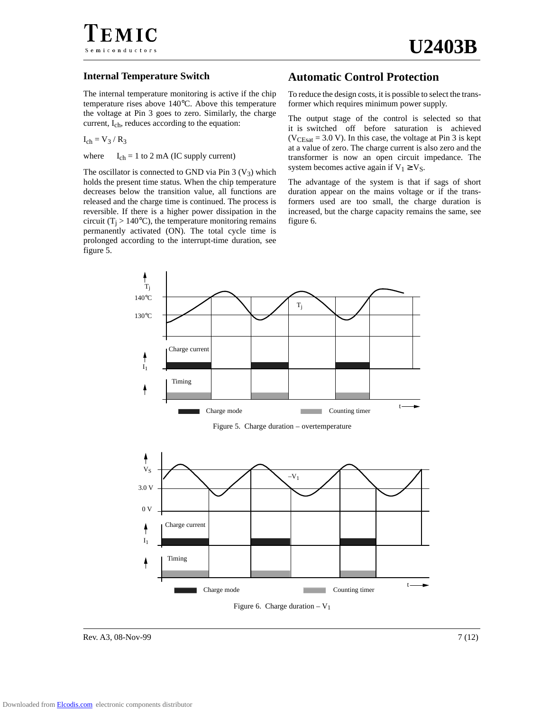

#### **Internal Temperature Switch**

The internal temperature monitoring is active if the chip temperature rises above 140°C. Above this temperature the voltage at Pin 3 goes to zero. Similarly, the charge current, Ich, reduces according to the equation:

 $I_{ch} = V_3 / R_3$ 

where  $I_{ch} = 1$  to 2 mA (IC supply current)

The oscillator is connected to GND via Pin  $3 (V<sub>3</sub>)$  which holds the present time status. When the chip temperature decreases below the transition value, all functions are released and the charge time is continued. The process is reversible. If there is a higher power dissipation in the circuit ( $T_i > 140$ °C), the temperature monitoring remains permanently activated (ON). The total cycle time is prolonged according to the interrupt-time duration, see figure 5.

## **Automatic Control Protection**

To reduce the design costs, it is possible to select the transformer which requires minimum power supply.

The output stage of the control is selected so that it is switched off before saturation is achieved  $(V_{\text{CEsat}} = 3.0 \text{ V})$ . In this case, the voltage at Pin 3 is kept at a value of zero. The charge current is also zero and the transformer is now an open circuit impedance. The system becomes active again if  $V_1 \geq V_S$ .

The advantage of the system is that if sags of short duration appear on the mains voltage or if the transformers used are too small, the charge duration is increased, but the charge capacity remains the same, see figure 6.



Figure 5. Charge duration – overtemperature



Rev. A3, 08-Nov-99 7 (12)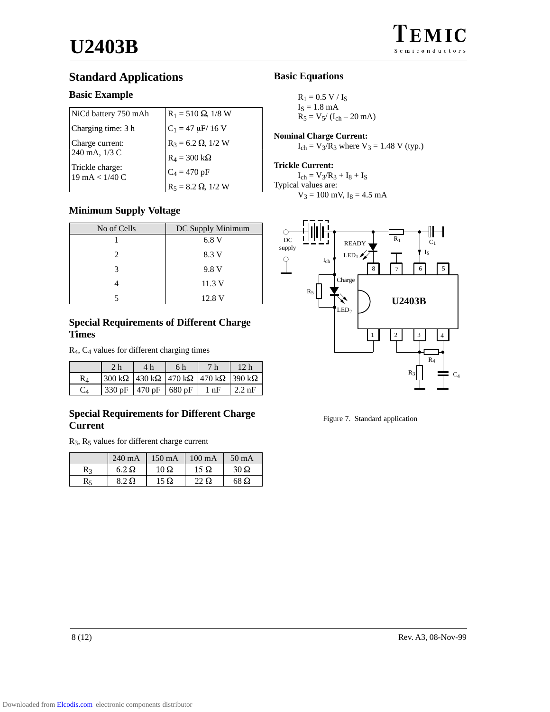## **Standard Applications**

## **Basic Example**

| NiCd battery 750 mAh                                | $R_1 = 510 \Omega$ , 1/8 W |
|-----------------------------------------------------|----------------------------|
| Charging time: 3 h                                  | $C_1 = 47 \mu$ F/ 16 V     |
| Charge current:                                     | $R_3 = 6.2 \Omega$ , 1/2 W |
| 240 mA, 1/3 C                                       | $R_4 = 300 k\Omega$        |
| Trickle charge:<br>$19 \text{ mA} < 1/40 \text{ C}$ | $C_4 = 470 pF$             |
|                                                     | $R_5 = 8.2 \Omega$ , 1/2 W |

## **Minimum Supply Voltage**

| No of Cells                 | DC Supply Minimum |
|-----------------------------|-------------------|
|                             | 6.8V              |
| $\mathcal{D}_{\mathcal{L}}$ | 8.3 V             |
| 3                           | 9.8 V             |
|                             | 11.3V             |
|                             | 12.8 V            |

## **Special Requirements of Different Charge Times**

R4, C4 values for different charging times

|    | 2 <sub>h</sub> | 4 h                                                                                | 6 h | 7 <sub>h</sub> | 12 h             |
|----|----------------|------------------------------------------------------------------------------------|-----|----------------|------------------|
| R4 |                | 300 k $\Omega$   430 k $\Omega$   470 k $\Omega$   470 k $\Omega$   390 k $\Omega$ |     |                |                  |
|    |                | 330 pF   470 pF   680 pF                                                           |     | $1$ nF         | $2.2 \text{ nF}$ |

## **Special Requirements for Different Charge Current**

R3, R5 values for different charge current

|    | $240 \text{ mA}$ | $150 \text{ mA}$ | $100 \text{ mA}$ | $50 \text{ mA}$ |
|----|------------------|------------------|------------------|-----------------|
| R٩ | $6.2\Omega$      | $10\ \Omega$     | $15 \Omega$      | $30\,\Omega$    |
| R٢ | 8.2 Q            | $15 \Omega$      | 22 $\Omega$      | 68 Q            |

## **Basic Equations**

 $R_1 = 0.5 V / I_S$  $I_S = 1.8$  mA  $R_5 = V_5/(I_{ch} - 20$  mA)

**Nominal Charge Current:**  $I_{ch} = V_3/R_3$  where  $V_3 = 1.48$  V (typ.)

#### **Trickle Current:**

 $I_{ch} = V_3/R_3 + I_8 + I_S$ Typical values are:  $V_3 = 100$  mV,  $I_8 = 4.5$  mA



Figure 7. Standard application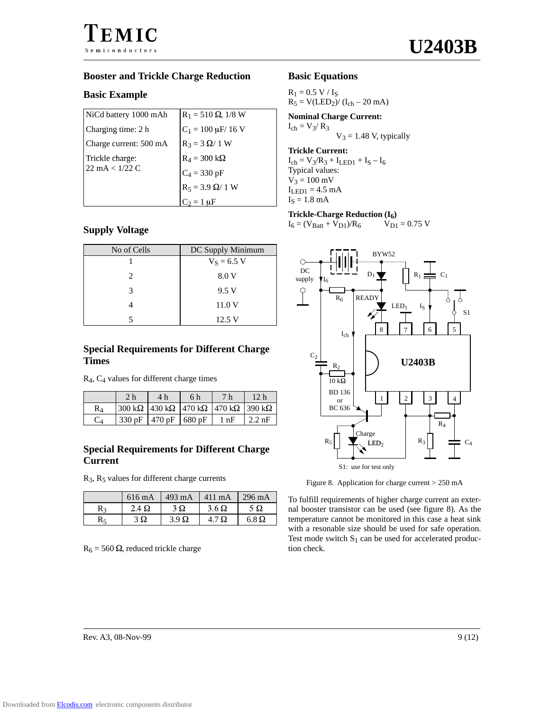## **Booster and Trickle Charge Reduction**

## **Basic Example**

| NiCd battery 1000 mAh            | $R_1 = 510 \Omega$ , 1/8 W |
|----------------------------------|----------------------------|
| Charging time: 2 h               | $C_1 = 100 \mu$ F/ 16 V    |
| Charge current: 500 mA           | $R_3 = 3 \Omega / 1 W$     |
| Trickle charge:                  | $R_4 = 300 k\Omega$        |
| $22 \text{ mA} < 1/22 \text{ C}$ | $C_4 = 330$ pF             |
|                                  | $R_5 = 3.9 \Omega/ 1 W$    |
|                                  | $C_2 = 1$ uF               |

## **Supply Voltage**

| No of Cells | DC Supply Minimum |
|-------------|-------------------|
|             | $V_S = 6.5 V$     |
| 2           | 8.0 V             |
| 3           | 9.5 V             |
|             | 11.0 V            |
|             | 12.5 V            |

## **Special Requirements for Different Charge Times**

R4, C4 values for different charge times

|       | 4 h                                                                               | 6 h | 7 h            | 12 h             |
|-------|-----------------------------------------------------------------------------------|-----|----------------|------------------|
|       | $300 \text{ k}\Omega$ 430 k $\Omega$ 470 k $\Omega$ 470 k $\Omega$ 390 k $\Omega$ |     |                |                  |
| 330pF | $1470 pF$ 680 pF                                                                  |     | $1 \text{ nF}$ | $2.2 \text{ nF}$ |

## **Special Requirements for Different Charge Current**

 $R_3$ ,  $R_5$  values for different charge currents

|    | 616 mA        | $493 \text{ mA}$ | $411 \text{ mA}$ | $296 \text{ mA}$ |
|----|---------------|------------------|------------------|------------------|
| R٩ | $2.4\,\Omega$ | $3\Omega$        | $3.6\,\Omega$    | 5Ω               |
|    | 3Ω            | $3.9 \Omega$     | 4.7 $\Omega$     | $6.8\Omega$      |

 $R_6 = 560 \Omega$ , reduced trickle charge

## **Basic Equations**

 $R_1 = 0.5 V / I_S$  $R_5 = V(LED_2) / (I_{ch} - 20 \text{ mA})$ 

**Nominal Charge Current:**  $I_{ch} = V_3 / R_3$  $V_3 = 1.48$  V, typically

#### **Trickle Current:**

 $I_{ch} = V_3/R_3 + I_{LED1} + I_S - I_6$ Typical values:  $V_3 = 100$  mV  $I_{LED1} = 4.5$  mA  $I<sub>S</sub> = 1.8$  mA

**Trickle-Charge Reduction (I<sub>6</sub>)<br>**  $I_6 = (V_{Batt} + V_{D1})/R_6$  $V_{D1} = 0.75$  **V**  $I_6 = (V_{Batt} + V_{D1})/R_6$ 



Figure 8. Application for charge current > 250 mA

To fulfill requirements of higher charge current an external booster transistor can be used (see figure 8). As the temperature cannot be monitored in this case a heat sink with a resonable size should be used for safe operation. Test mode switch  $S_1$  can be used for accelerated production check.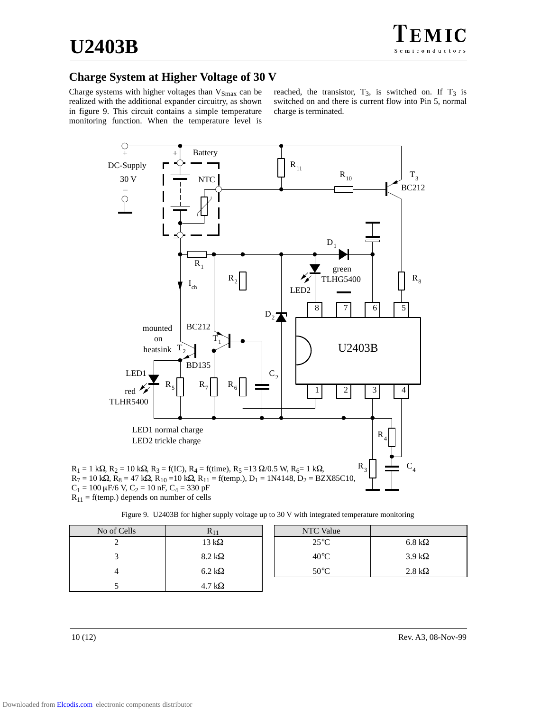## **Charge System at Higher Voltage of 30 V**

Charge systems with higher voltages than  $V_{\text{Smax}}$  can be realized with the additional expander circuitry, as shown in figure 9. This circuit contains a simple temperature monitoring function. When the temperature level is

reached, the transistor,  $T_3$ , is switched on. If  $T_3$  is switched on and there is current flow into Pin 5, normal charge is terminated.



Figure 9. U2403B for higher supply voltage up to 30 V with integrated temperature monitoring

| No of Cells | $\mathbf{N}$ 11       | <b>NTC</b> Value |                       |
|-------------|-----------------------|------------------|-----------------------|
|             | 13 k $\Omega$         | $25^{\circ}$ C   | $6.8 \text{ k}\Omega$ |
|             | $8.2 \text{ k}\Omega$ | $40^{\circ}$ C   | $3.9 k\Omega$         |
|             | $6.2 \text{ k}\Omega$ | $50^{\circ}$ C   | $2.8 \text{ k}\Omega$ |
|             | $4.7 \text{ k}\Omega$ |                  |                       |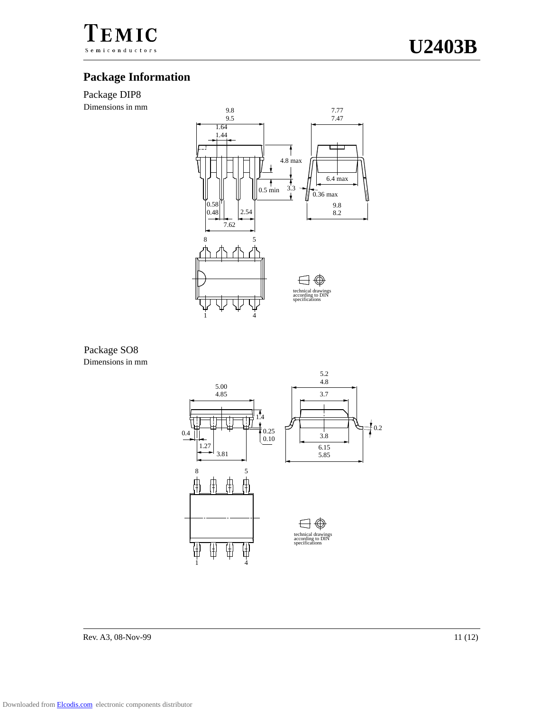

## **Package Information**

## Package DIP8

Dimensions in mm



## Package SO8 Dimensions in mm



Rev. A3, 08-Nov-99 11 (12)